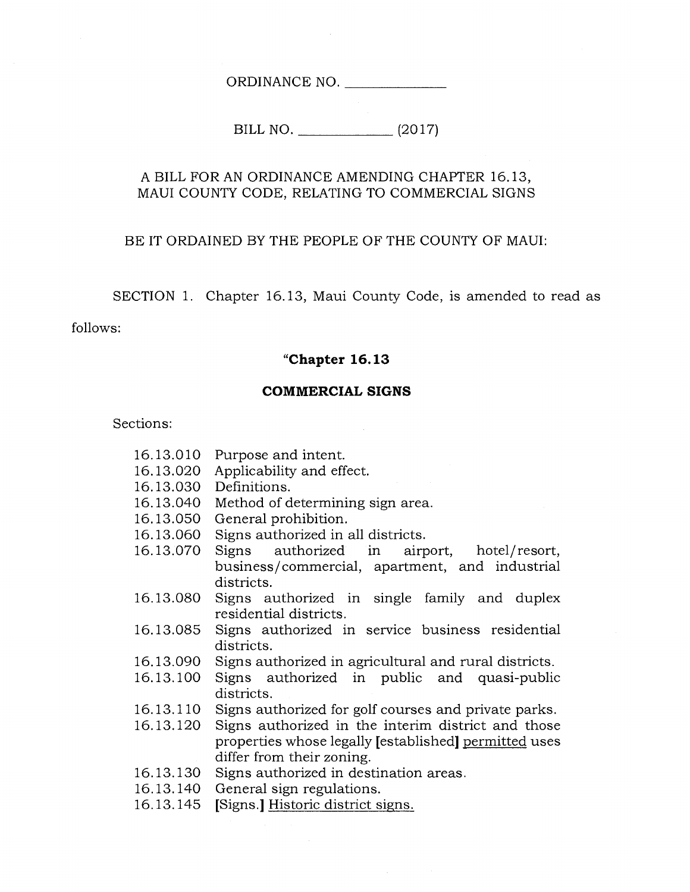ORDINANCE NO.

BILL NO. (2017)

#### A BILL FOR AN ORDINANCE AMENDING CHAPTER 16.13, MAUI COUNTY CODE, RELATING TO COMMERCIAL SIGNS

#### BE IT ORDAINED BY THE PEOPLE OF THE COUNTY OF MAUI:

SECTION 1. Chapter 16.13, Maui County Code, is amended to read as

follows:

#### **"Chapter 16.13**

#### **COMMERCIAL SIGNS**

Sections:

- 16.13.010 Purpose and intent.
- 16.13.020 Applicability and effect.
- 16.13.030 Definitions.
- 16.13.040 Method of determining sign area.
- 16.13.050 General prohibition.
- 16.13.060 Signs authorized in all districts.
- 16.13.070 Signs authorized in airport, hotel/resort, business/commercial, apartment, and industrial districts.
- 16.13.080 Signs authorized in single family and duplex residential districts.
- 16.13.085 Signs authorized in service business residential districts.
- 16.13.090 Signs authorized in agricultural and rural districts.
- 16.13.100 Signs authorized in public and quasi-public districts.
- 16.13.110 Signs authorized for golf courses and private parks.
- 16.13.120 Signs authorized in the interim district and those properties whose legally [established] permitted uses differ from their zoning.
- 16.13.130 Signs authorized in destination areas.
- 16.13.140 General sign regulations.
- 16.13.145 [Signs.] Historic district signs.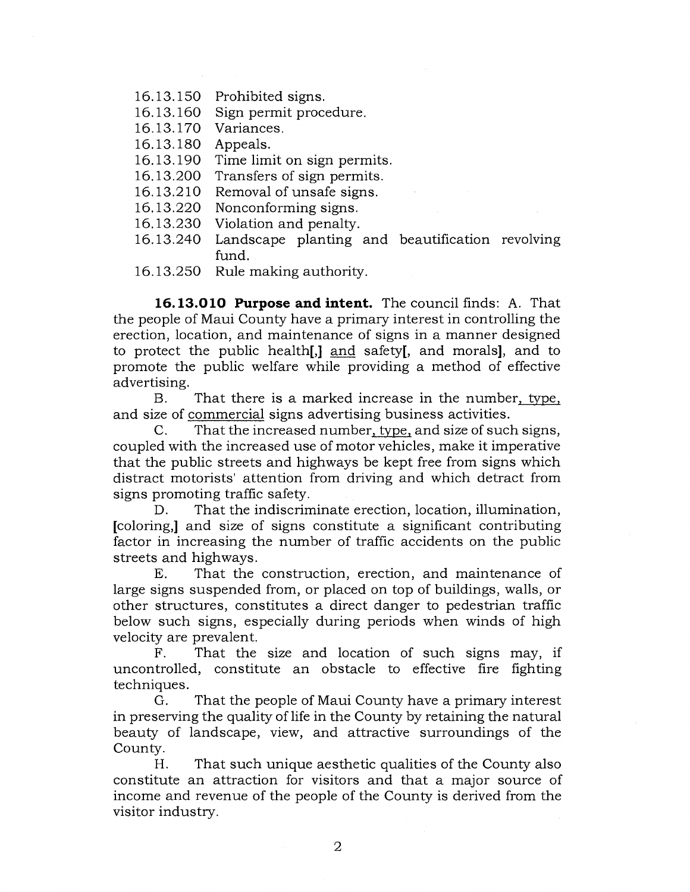- 16.13.150 Prohibited signs.
- 16.13.160 Sign permit procedure.
- 16.13.170 Variances.
- 16.13.180 Appeals.
- 16.13.190 Time limit on sign permits.
- 16.13.200 Transfers of sign permits.
- 16.13.210 Removal of unsafe signs.
- 16.13.220 Nonconforming signs.
- 16.13.230 Violation and penalty.
- 16.13.240 Landscape planting and beautification revolving fund.
- 16.13.250 Rule making authority.

**16.13.010 Purpose and intent.** The council finds: A. That the people of Maui County have a primary interest in controlling the erection, location, and maintenance of signs in a manner designed to protect the public health[,] and safety[, and morals], and to promote the public welfare while providing a method of effective advertising.

B. That there is a marked increase in the number, type, and size of commercial signs advertising business activities.

C. That the increased number, type, and size of such signs, coupled with the increased use of motor vehicles, make it imperative that the public streets and highways be kept free from signs which distract motorists' attention from driving and which detract from signs promoting traffic safety.

D. That the indiscriminate erection, location, illumination, [coloring,] and size of signs constitute a significant contributing factor in increasing the number of traffic accidents on the public streets and highways.

E. That the construction, erection, and maintenance of large signs suspended from, or placed on top of buildings, walls, or other structures, constitutes a direct danger to pedestrian traffic below such signs, especially during periods when winds of high velocity are prevalent.

F. That the size and location of such signs may, if uncontrolled, constitute an obstacle to effective fire fighting techniques.

G. That the people of Maui County have a primary interest in preserving the quality of life in the County by retaining the natural beauty of landscape, view, and attractive surroundings of the County.

H. That such unique aesthetic qualities of the County also constitute an attraction for visitors and that a major source of income and revenue of the people of the County is derived from the visitor industry.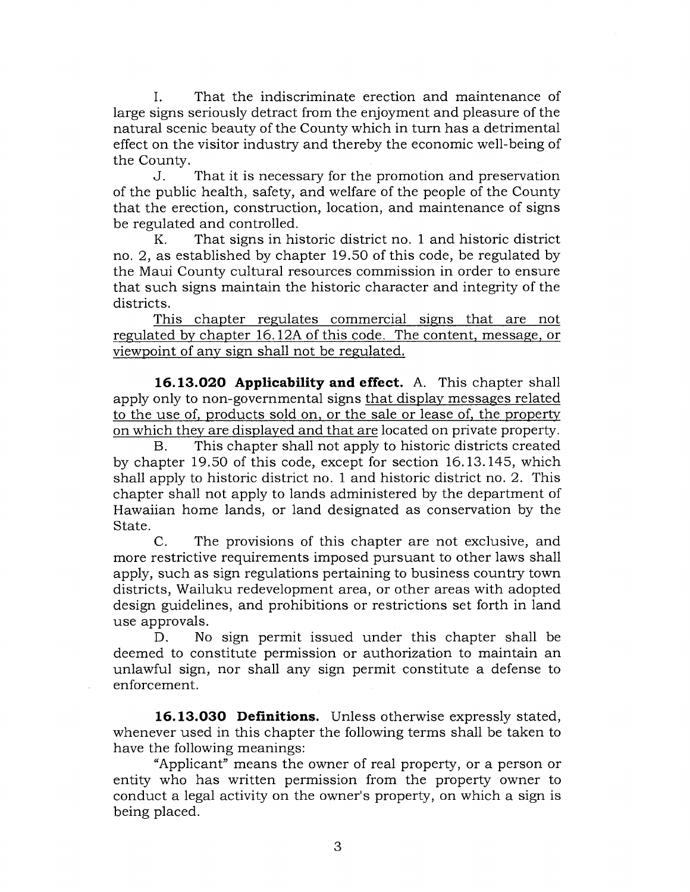I. That the indiscriminate erection and maintenance of large signs seriously detract from the enjoyment and pleasure of the natural scenic beauty of the County which in turn has a detrimental effect on the visitor industry and thereby the economic well-being of the County.

J. That it is necessary for the promotion and preservation of the public health, safety, and welfare of the people of the County that the erection, construction, location, and maintenance of signs be regulated and controlled.

K. That signs in historic district no. 1 and historic district no. 2, as established by chapter 19.50 of this code, be regulated by the Maui County cultural resources commission in order to ensure that such signs maintain the historic character and integrity of the districts.

This chapter regulates commercial signs that are not regulated by chapter 16.12A of this code. The content, message, or viewpoint of any sign shall not be regulated.

**16.13.020 Applicability and effect.** A. This chapter shall apply only to non-governmental signs that display messages related to the use of, products sold on, or the sale or lease of, the property on which they are displayed and that are located on private property.

B. This chapter shall not apply to historic districts created by chapter 19.50 of this code, except for section 16.13.145, which shall apply to historic district no. 1 and historic district no. 2. This chapter shall not apply to lands administered by the department of Hawaiian home lands, or land designated as conservation by the State.

C. The provisions of this chapter are not exclusive, and more restrictive requirements imposed pursuant to other laws shall apply, such as sign regulations pertaining to business country town districts, Wailuku redevelopment area, or other areas with adopted design guidelines, and prohibitions or restrictions set forth in land use approvals.

D. No sign permit issued under this chapter shall be deemed to constitute permission or authorization to maintain an unlawful sign, nor shall any sign permit constitute a defense to enforcement.

**16.13.030 Definitions.** Unless otherwise expressly stated, whenever used in this chapter the following terms shall be taken to have the following meanings:

"Applicant" means the owner of real property, or a person or entity who has written permission from the property owner to conduct a legal activity on the owner's property, on which a sign is being placed.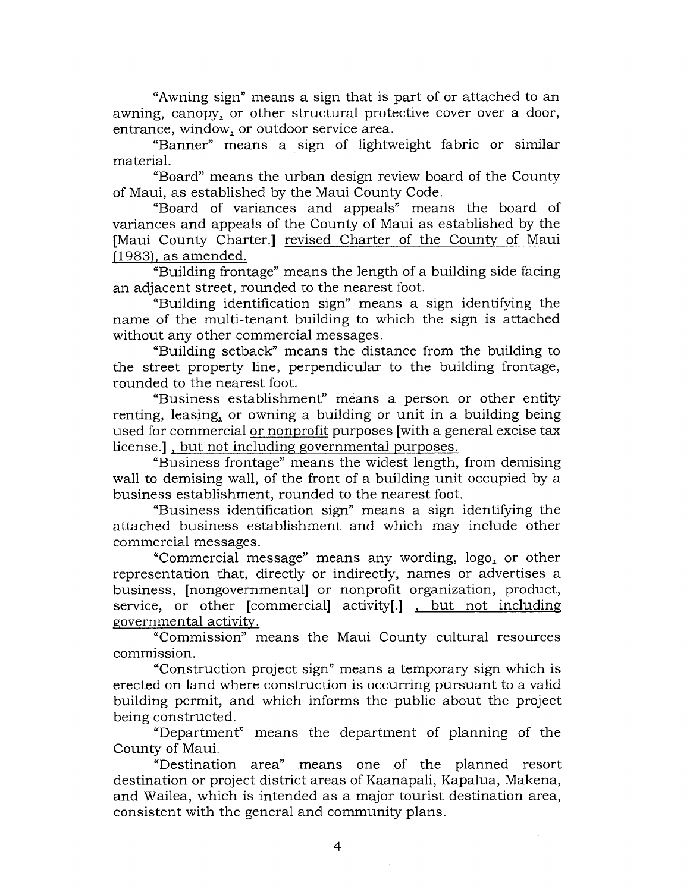"Awning sign" means a sign that is part of or attached to an awning, canopy, or other structural protective cover over a door, entrance, window, or outdoor service area.

"Banner" means a sign of lightweight fabric or similar material.

"Board" means the urban design review board of the County of Maui, as established by the Maui County Code.

"Board of variances and appeals" means the board of variances and appeals of the County of Maui as established by the [Maui County Charter.] revised Charter of the County of Maui (1983), as amended.

"Building frontage" means the length of a building side facing an adjacent street, rounded to the nearest foot.

"Building identification sign" means a sign identifying the name of the multi-tenant building to which the sign is attached without any other commercial messages.

"Building setback" means the distance from the building to the street property line, perpendicular to the building frontage, rounded to the nearest foot.

"Business establishment" means a person or other entity renting, leasing, or owning a building or unit in a building being used for commercial or nonprofit purposes [with a general excise tax license.] , but not including governmental purposes.

"Business frontage" means the widest length, from demising wall to demising wall, of the front of a building unit occupied by a business establishment, rounded to the nearest foot.

"Business identification sign" means a sign identifying the attached business establishment and which may include other commercial messages.

"Commercial message" means any wording, logo, or other representation that, directly or indirectly, names or advertises a business, [nongovernmental] or nonprofit organization, product, service, or other [commercial] activity[.] , but not including governmental activity.

"Commission" means the Maui County cultural resources commission.

"Construction project sign" means a temporary sign which is erected on land where construction is occurring pursuant to a valid building permit, and which informs the public about the project being constructed.

"Department" means the department of planning of the County of Maui.

"Destination area" means one of the planned resort destination or project district areas of Kaanapali, Kapalua, Makena, and Wailea, which is intended as a major tourist destination area, consistent with the general and community plans.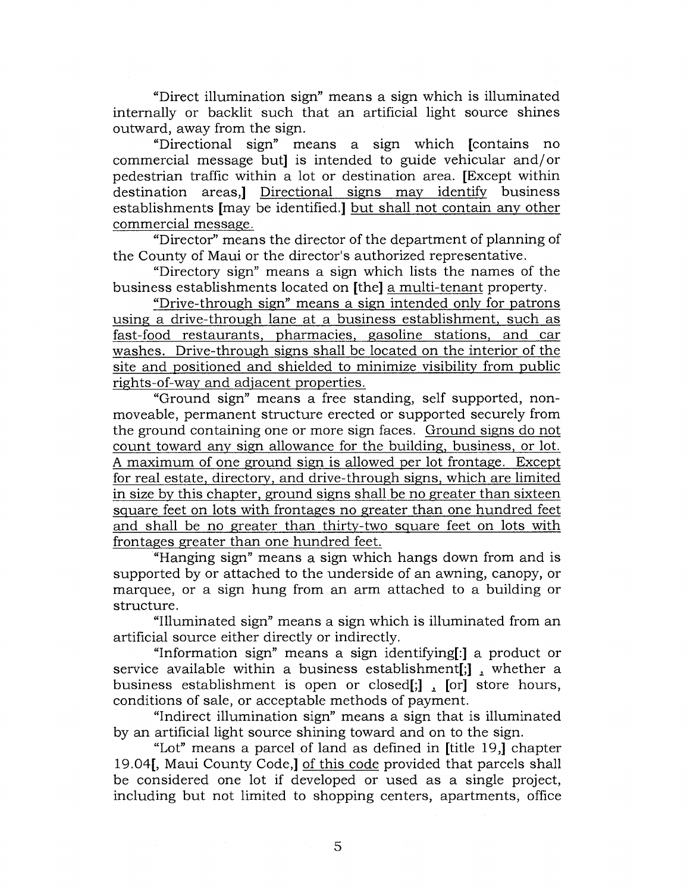"Direct illumination sign" means a sign which is illuminated internally or backlit such that an artificial light source shines outward, away from the sign.

"Directional sign" means a sign which [contains no commercial message but] is intended to guide vehicular and/or pedestrian traffic within a lot or destination area. [Except within destination areas,] Directional signs may identify business establishments [may be identified.] but shall not contain any other commercial message.

"Director" means the director of the department of planning of the County of Maui or the director's authorized representative.

"Directory sign" means a sign which lists the names of the business establishments located on [the] a multi-tenant property.

"Drive-through sign" means a sign intended only for patrons using a drive-through lane at a business establishment, such as fast-food restaurants, pharmacies, gasoline stations, and car washes. Drive-through signs shall be located on the interior of the site and positioned and shielded to minimize visibility from public rights-of-way and adjacent properties.

"Ground sign" means a free standing, self supported, nonmoveable, permanent structure erected or supported securely from the ground containing one or more sign faces. Ground signs do not count toward any sign allowance for the building, business, or lot. A maximum of one ground sign is allowed per lot frontage. Except for real estate, directory, and drive-through signs, which are limited in size by this chapter, ground signs shall be no greater than sixteen square feet on lots with frontages no greater than one hundred feet and shall be no greater than thirty-two square feet on lots with frontages greater than one hundred feet.

"Hanging sign" means a sign which hangs down from and is supported by or attached to the underside of an awning, canopy, or marquee, or a sign hung from an arm attached to a building or structure.

"Illuminated sign" means a sign which is illuminated from an artificial source either directly or indirectly.

"Information sign" means a sign identifying[:] a product or service available within a business establishment[;], whether a business establishment is open or closed[;], [or] store hours, conditions of sale, or acceptable methods of payment.

"Indirect illumination sign" means a sign that is illuminated by an artificial light source shining toward and on to the sign.

"Lot" means a parcel of land as defined in [title 19,] chapter 19.04[, Maui County Code,] of this code provided that parcels shall be considered one lot if developed or used as a single project, including but not limited to shopping centers, apartments, office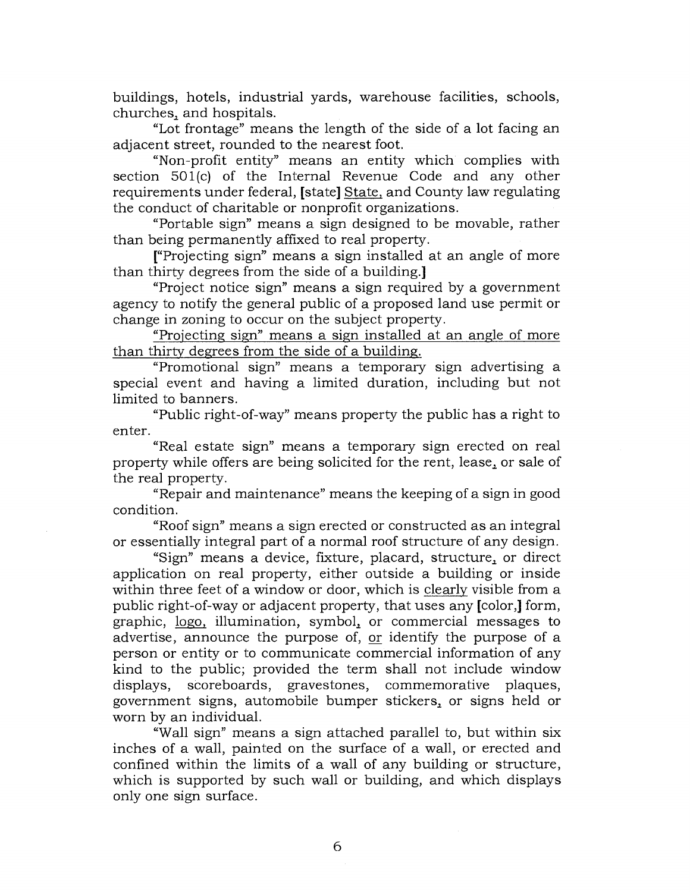buildings, hotels, industrial yards, warehouse facilities, schools, churches, and hospitals.

"Lot frontage" means the length of the side of a lot facing an adjacent street, rounded to the nearest foot.

"Non-profit entity" means an entity which complies with section 501(c) of the Internal Revenue Code and any other requirements under federal, [state] State, and County law regulating the conduct of charitable or nonprofit organizations.

"Portable sign" means a sign designed to be movable, rather than being permanently affixed to real property.

["Projecting sign" means a sign installed at an angle of more than thirty degrees from the side of a building.]

"Project notice sign" means a sign required by a government agency to notify the general public of a proposed land use permit or change in zoning to occur on the subject property.

"Projecting sign" means a sign installed at an angle of more than thirty degrees from the side of a building.

"Promotional sign" means a temporary sign advertising a special event and having a limited duration, including but not limited to banners.

"Public right-of-way" means property the public has a right to enter.

"Real estate sign" means a temporary sign erected on real property while offers are being solicited for the rent, lease, or sale of the real property.

"Repair and maintenance" means the keeping of a sign in good condition.

"Roof sign" means a sign erected or constructed as an integral or essentially integral part of a normal roof structure of any design.

"Sign" means a device, fixture, placard, structure, or direct application on real property, either outside a building or inside within three feet of a window or door, which is clearly visible from a public right-of-way or adjacent property, that uses any [color,] form, graphic, logo, illumination, symbol, or commercial messages to advertise, announce the purpose of, or identify the purpose of a person or entity or to communicate commercial information of any kind to the public; provided the term shall not include window displays, scoreboards, gravestones, commemorative plaques, government signs, automobile bumper stickers,\_ or signs held or worn by an individual.

"Wall sign" means a sign attached parallel to, but within six inches of a wall, painted on the surface of a wall, or erected and confined within the limits of a wall of any building or structure, which is supported by such wall or building, and which displays only one sign surface.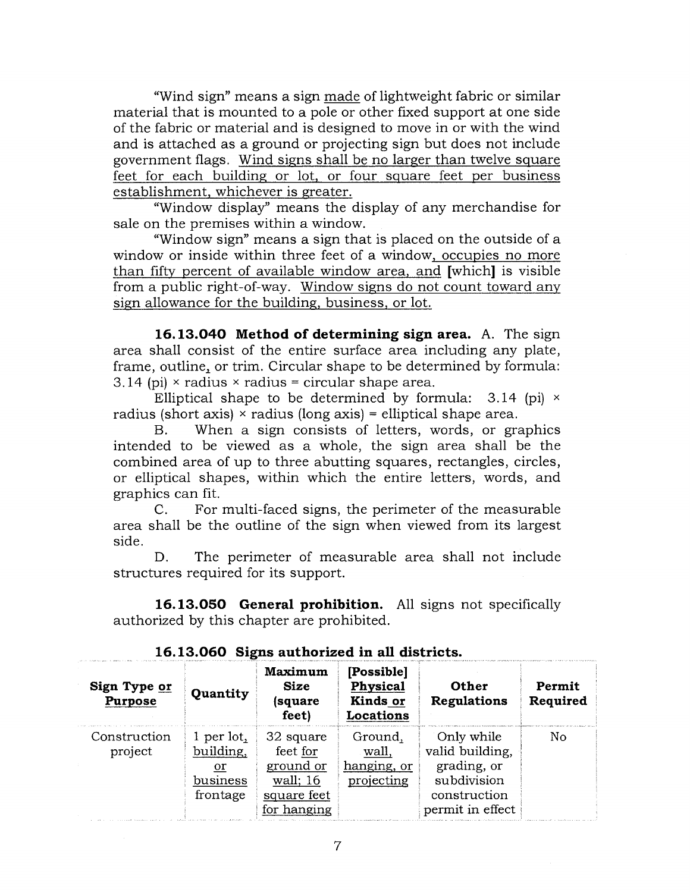"Wind sign" means a sign made of lightweight fabric or similar material that is mounted to a pole or other fixed support at one side of the fabric or material and is designed to move in or with the wind and is attached as a ground or projecting sign but does not include government flags. Wind signs shall be no larger than twelve square feet for each building or lot, or four square feet per business establishment, whichever is greater.

"Window display" means the display of any merchandise for sale on the premises within a window.

"Window sign" means a sign that is placed on the outside of a window or inside within three feet of a window, occupies no more than fifty percent of available window area, and [which] is visible from a public right-of-way. Window signs do not count toward any sign allowance for the building, business, or lot.

**16.13.040 Method of determining sign area.** A. The sign area shall consist of the entire surface area including any plate, frame, outline, or trim. Circular shape to be determined by formula: 3.14 (pi)  $\times$  radius  $\times$  radius = circular shape area.

Elliptical shape to be determined by formula:  $3.14$  (pi)  $\times$ radius (short axis)  $\times$  radius (long axis) = elliptical shape area.

B. When a sign consists of letters, words, or graphics intended to be viewed as a whole, the sign area shall be the combined area of up to three abutting squares, rectangles, circles, or elliptical shapes, within which the entire letters, words, and graphics can fit.

C. For multi-faced signs, the perimeter of the measurable area shall be the outline of the sign when viewed from its largest side.

D. The perimeter of measurable area shall not include structures required for its support.

**16.13.050 General prohibition.** All signs not specifically authorized by this chapter are prohibited.

| Sign Type or<br><b>Purpose</b> | Quantity                                              | Maximum<br><b>Size</b><br>(square<br>feet)                                   | [Possible]<br>Physical<br>Kinds or<br>Locations | Other<br>Regulations                                                                            | Permit<br>Required |
|--------------------------------|-------------------------------------------------------|------------------------------------------------------------------------------|-------------------------------------------------|-------------------------------------------------------------------------------------------------|--------------------|
| Construction<br>project        | 1 per lot,<br>building,<br>or<br>business<br>frontage | 32 square<br>feet for<br>ground or<br>wall; 16<br>square feet<br>for hanging | Ground,<br>wall,<br>hanging, or<br>projecting   | Only while<br>valid building,<br>grading, or<br>subdivision<br>construction<br>permit in effect | No                 |

**16.13.060 Signs authorized in all districts.**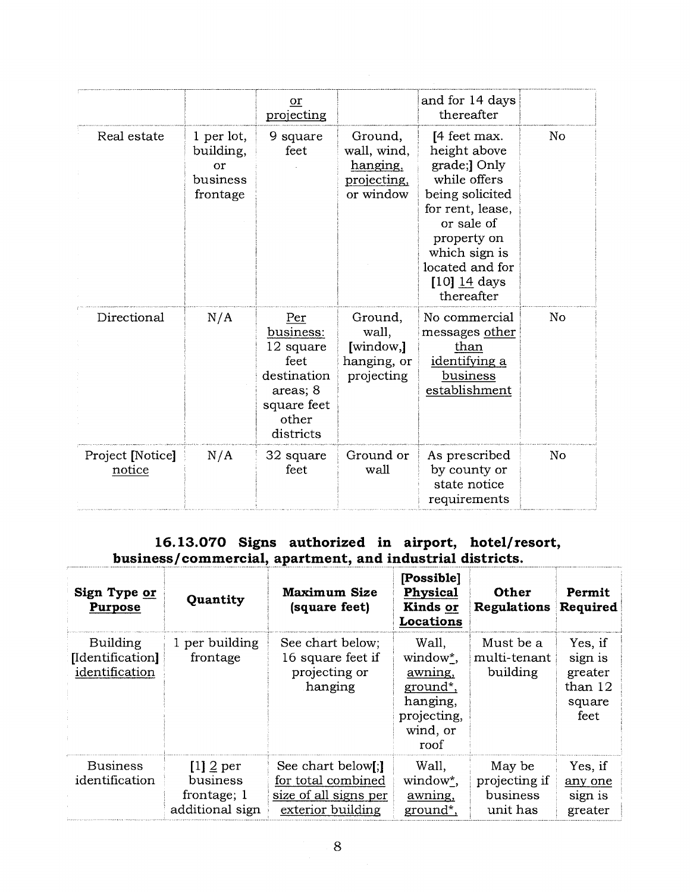|                            |                                                       | or<br>projecting                                                                                      |                                                                | and for 14 days<br>thereafter                                                                                                                                                                        |    |
|----------------------------|-------------------------------------------------------|-------------------------------------------------------------------------------------------------------|----------------------------------------------------------------|------------------------------------------------------------------------------------------------------------------------------------------------------------------------------------------------------|----|
| Real estate                | 1 per lot,<br>building,<br>or<br>business<br>frontage | 9 square<br>feet                                                                                      | Ground,<br>wall, wind,<br>hanging,<br>projecting.<br>or window | [4 feet max.<br>height above<br>grade;] Only<br>while offers<br>being solicited<br>for rent, lease,<br>or sale of<br>property on<br>which sign is<br>located and for<br>$[10]$ 14 days<br>thereafter | No |
| Directional                | N/A                                                   | Per<br>business:<br>12 square<br>feet<br>destination<br>areas; 8<br>square feet<br>other<br>districts | Ground,<br>wall,<br>[window,]<br>hanging, or<br>projecting     | No commercial<br>messages other<br>than<br>identifying a<br>business<br>establishment                                                                                                                | No |
| Project [Notice]<br>notice | N/A                                                   | 32 square<br>feet                                                                                     | Ground or<br>wall                                              | As prescribed<br>by county or<br>state notice<br>requirements                                                                                                                                        | No |

# **16.13.070 Signs authorized in airport, hotel/resort, business/commercial, apartment, and industrial districts.**

| Sign Type or<br><b>Purpose</b>                 | Quantity                                                  | <b>Maximum Size</b><br>(square feet)                                                   | [Possible]<br>Physical<br>Kinds or<br>Locations                                         | <b>Other</b><br>Regulations                     | Permit<br>Required                                         |
|------------------------------------------------|-----------------------------------------------------------|----------------------------------------------------------------------------------------|-----------------------------------------------------------------------------------------|-------------------------------------------------|------------------------------------------------------------|
| Building<br>[Identification]<br>identification | 1 per building<br>frontage                                | See chart below;<br>16 square feet if<br>projecting or<br>hanging                      | Wall,<br>window*,<br>awning,<br>ground*,<br>hanging,<br>projecting,<br>wind, or<br>roof | Must be a<br>multi-tenant<br>building           | Yes, if<br>sign is<br>greater<br>than 12<br>square<br>feet |
| <b>Business</b><br>identification              | $[1]$ 2 per<br>business<br>frontage; 1<br>additional sign | See chart below[;]<br>for total combined<br>size of all signs per<br>exterior building | Wall,<br>window*,<br>awning,<br>ground*,                                                | May be<br>projecting if<br>business<br>unit has | Yes, if<br>any one<br>sign is<br>greater                   |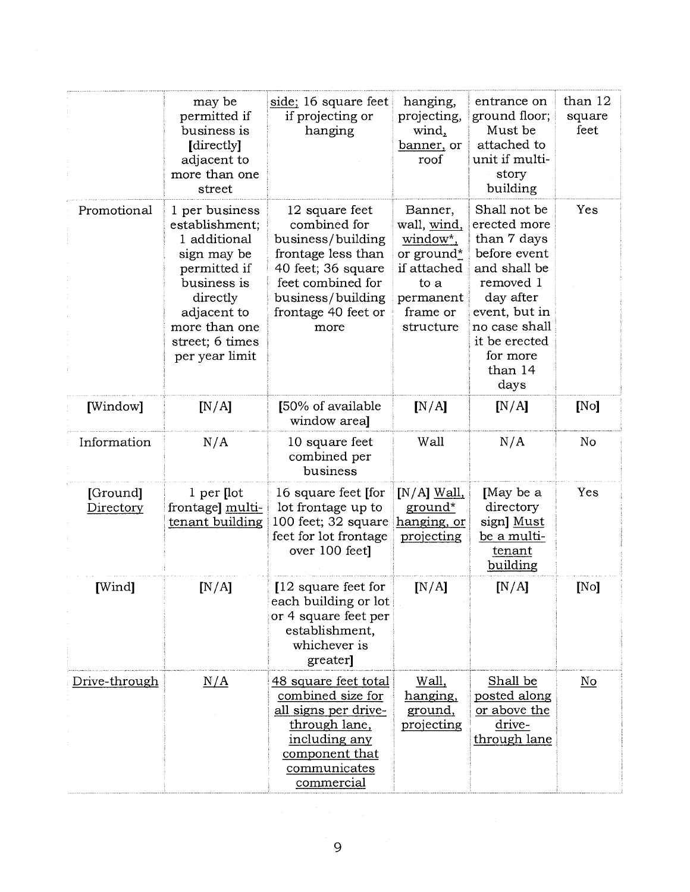|                       | may be<br>permitted if<br>business is<br>[directly]<br>adjacent to<br>more than one<br>street                                                                                   | side; 16 square feet<br>if projecting or<br>hanging                                                                                                                      | hanging,<br>projecting,<br>wind,<br>banner, or<br>roof                                                        | entrance on<br>ground floor;<br>Must be<br>attached to<br>unit if multi-<br>story<br>building                                                                                           | than 12<br>square<br>feet |
|-----------------------|---------------------------------------------------------------------------------------------------------------------------------------------------------------------------------|--------------------------------------------------------------------------------------------------------------------------------------------------------------------------|---------------------------------------------------------------------------------------------------------------|-----------------------------------------------------------------------------------------------------------------------------------------------------------------------------------------|---------------------------|
| Promotional           | 1 per business<br>establishment;<br>1 additional<br>sign may be<br>permitted if<br>business is<br>directly<br>adjacent to<br>more than one<br>street; 6 times<br>per year limit | 12 square feet<br>combined for<br>business/building<br>frontage less than<br>40 feet; 36 square<br>feet combined for<br>business/building<br>frontage 40 feet or<br>more | Banner,<br>wall, wind,<br>window*,<br>or ground*<br>if attached<br>to a<br>permanent<br>frame or<br>structure | Shall not be<br>erected more<br>than 7 days<br>before event<br>and shall be<br>removed 1<br>day after<br>event, but in<br>no case shall<br>it be erected<br>for more<br>than 14<br>days | Yes                       |
| [Window]              | [N/A]                                                                                                                                                                           | [50% of available<br>window areal                                                                                                                                        | [N/A]                                                                                                         | [N/A]                                                                                                                                                                                   | [No]                      |
| Information           | N/A                                                                                                                                                                             | 10 square feet<br>combined per<br>business                                                                                                                               | Wall                                                                                                          | N/A                                                                                                                                                                                     | No                        |
| [Ground]<br>Directory | $1$ per [lot<br>frontage] multi-<br>tenant building                                                                                                                             | 16 square feet [for<br>lot frontage up to<br>100 feet; 32 square<br>feet for lot frontage<br>over 100 feet]                                                              | $[N/A]$ Wall,<br>ground*<br>hanging, or<br>projecting                                                         | [May be a<br>directory<br>sign] Must<br>be a multi-<br>tenant<br>building                                                                                                               | Yes                       |
| [Wind]                | [N/A]                                                                                                                                                                           | [12 square feet for<br>each building or lot<br>or 4 square feet per<br>establishment,<br>whichever is<br>greater]                                                        | [N/A]                                                                                                         | [N/A]                                                                                                                                                                                   | [No]                      |
| Drive-through         | N/A                                                                                                                                                                             | 48 square feet total<br>combined size for<br>all signs per drive-<br>through lane,<br>including any<br>component that<br>communicates<br>commercial                      | Wall,<br>hanging,<br>ground,<br>projecting                                                                    | Shall be<br>posted along<br>or above the<br>drive-<br>through lane                                                                                                                      | $\underline{\mathrm{No}}$ |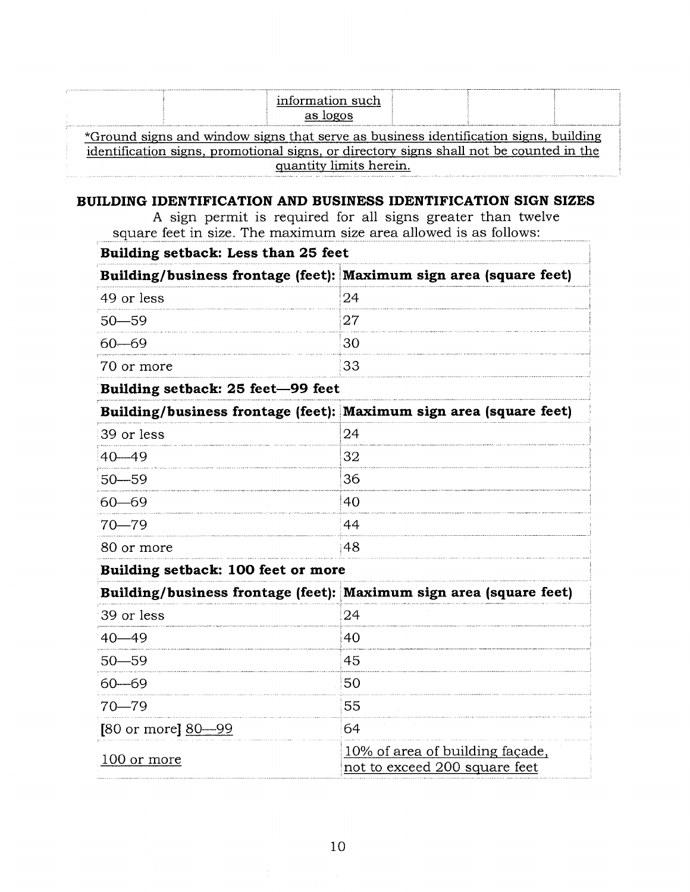| information such<br>as logos                                                            |  |  |  |  |  |  |
|-----------------------------------------------------------------------------------------|--|--|--|--|--|--|
| *Ground signs and window signs that serve as business identification signs, building    |  |  |  |  |  |  |
| identification signs, promotional signs, or directory signs shall not be counted in the |  |  |  |  |  |  |
| quantity limits herein.                                                                 |  |  |  |  |  |  |

## **BUILDING IDENTIFICATION AND BUSINESS IDENTIFICATION SIGN SIZES**

A sign permit is required for all signs greater than twelve square feet in size. The maximum size area allowed is as follows:

| Building setback: Less than 25 feet                                |                                                                  |  |  |  |  |  |
|--------------------------------------------------------------------|------------------------------------------------------------------|--|--|--|--|--|
| Building/business frontage (feet): Maximum sign area (square feet) |                                                                  |  |  |  |  |  |
| 49 or less                                                         | 24                                                               |  |  |  |  |  |
| $50 - 59$                                                          | 27                                                               |  |  |  |  |  |
| $60 - 69$                                                          | 30                                                               |  |  |  |  |  |
| 70 or more                                                         | 33                                                               |  |  |  |  |  |
| Building setback: 25 feet-99 feet                                  |                                                                  |  |  |  |  |  |
| Building/business frontage (feet): Maximum sign area (square feet) |                                                                  |  |  |  |  |  |
| 39 or less                                                         | 24                                                               |  |  |  |  |  |
| $40 - 49$                                                          | 32                                                               |  |  |  |  |  |
| $50 - 59$                                                          | 36                                                               |  |  |  |  |  |
| $60 - 69$                                                          | 40                                                               |  |  |  |  |  |
| 70—79                                                              | 44                                                               |  |  |  |  |  |
| 80 or more                                                         | 48                                                               |  |  |  |  |  |
| Building setback: 100 feet or more                                 |                                                                  |  |  |  |  |  |
| Building/business frontage (feet): Maximum sign area (square feet) |                                                                  |  |  |  |  |  |
| 39 or less                                                         | 24                                                               |  |  |  |  |  |
| $40 - 49$                                                          | 40                                                               |  |  |  |  |  |
| $50 - 59$                                                          | 45                                                               |  |  |  |  |  |
| $60 - 69$                                                          | 50                                                               |  |  |  |  |  |
| 70—79                                                              | 55                                                               |  |  |  |  |  |
| [80 or more] $80 - 99$                                             | 64                                                               |  |  |  |  |  |
| 100 or more                                                        | 10% of area of building façade,<br>not to exceed 200 square feet |  |  |  |  |  |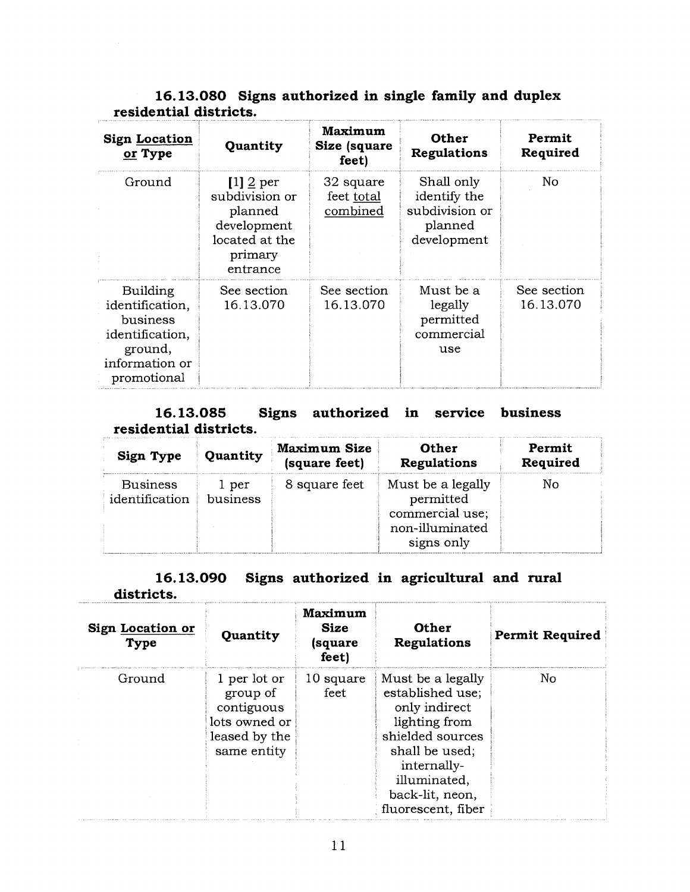## **16.13.080 Signs authorized in single family and duplex residential districts.**

| <b>Sign Location</b><br>or Type                                                                               | Quantity                                                                                         | Maximum<br>Size (square<br>feet)    | <b>Other</b><br><b>Regulations</b>                                     | Permit<br>Required       |
|---------------------------------------------------------------------------------------------------------------|--------------------------------------------------------------------------------------------------|-------------------------------------|------------------------------------------------------------------------|--------------------------|
| Ground                                                                                                        | $[1]$ 2 per<br>subdivision or<br>planned<br>development<br>located at the<br>primary<br>entrance | 32 square<br>feet total<br>combined | Shall only<br>identify the<br>subdivision or<br>planned<br>development | No                       |
| <b>Building</b><br>identification,<br>business<br>identification,<br>ground,<br>information or<br>promotional | See section<br>16.13.070                                                                         | See section<br>16.13.070            | Must be a<br>legally<br>permitted<br>commercial<br>use                 | See section<br>16.13.070 |

### **business 16.13.085 Signs authorized in service residential districts.**

| Quantity                          |                   | Maximum Size  | Other                                                                              | Permit   |
|-----------------------------------|-------------------|---------------|------------------------------------------------------------------------------------|----------|
| Sign Type                         |                   | (square feet) | Regulations                                                                        | Required |
| <b>Business</b><br>identification | 1 per<br>business | 8 square feet | Must be a legally<br>permitted<br>commercial use;<br>non-illuminated<br>signs only | Nο       |

#### **16.13.090 Signs authorized in agricultural and rural districts.**

| <b>Sign Location or</b><br><b>Type</b> | Quantity                                                                                | Maximum<br><b>Size</b><br>(square<br>feet) | Other<br>Regulations                                                                                                                                                                  | <b>Permit Required</b> |
|----------------------------------------|-----------------------------------------------------------------------------------------|--------------------------------------------|---------------------------------------------------------------------------------------------------------------------------------------------------------------------------------------|------------------------|
| Ground                                 | 1 per lot or<br>group of<br>contiguous<br>lots owned or<br>leased by the<br>same entity | 10 square<br>feet                          | Must be a legally<br>established use;<br>only indirect<br>lighting from<br>shielded sources<br>shall be used;<br>internally-<br>illuminated,<br>back-lit, neon,<br>fluorescent, fiber | No                     |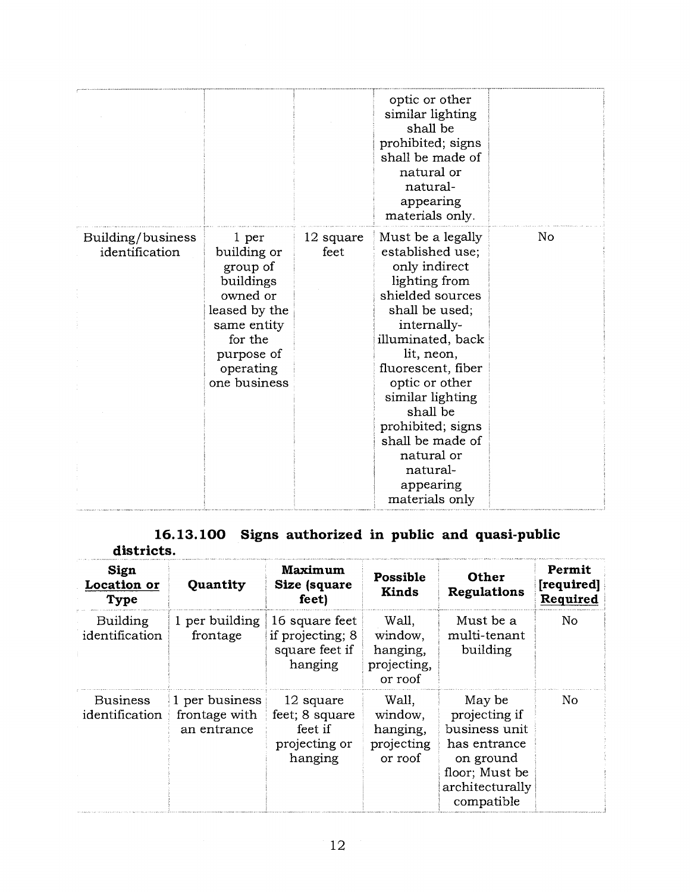|                                     |                                                                                                                                                 |                   | optic or other<br>similar lighting<br>shall be<br>prohibited; signs<br>shall be made of<br>natural or<br>natural-<br>appearing<br>materials only.                                                                                                                                                                                         |    |
|-------------------------------------|-------------------------------------------------------------------------------------------------------------------------------------------------|-------------------|-------------------------------------------------------------------------------------------------------------------------------------------------------------------------------------------------------------------------------------------------------------------------------------------------------------------------------------------|----|
| Building/business<br>identification | 1 per<br>building or<br>group of<br>buildings<br>owned or<br>leased by the<br>same entity<br>for the<br>purpose of<br>operating<br>one business | 12 square<br>feet | Must be a legally<br>established use;<br>only indirect<br>lighting from<br>shielded sources<br>shall be used;<br>internally-<br>illuminated, back<br>lit, neon,<br>fluorescent, fiber<br>optic or other<br>similar lighting<br>shall be<br>prohibited; signs<br>shall be made of<br>natural or<br>natural-<br>appearing<br>materials only | No |

## **16.13.100 Signs authorized in public and quasi-public districts.**

| Sign<br>Location or<br><b>Type</b> | Quantity                                       | Maximum<br>Size (square<br>feet)                                   | <b>Possible</b><br><b>Kinds</b>                        | <b>Other</b><br><b>Regulations</b>                                                                                       | Permit<br>[required]<br>Required |
|------------------------------------|------------------------------------------------|--------------------------------------------------------------------|--------------------------------------------------------|--------------------------------------------------------------------------------------------------------------------------|----------------------------------|
| Building<br>identification         | 1 per building<br>frontage                     | 16 square feet<br>if projecting; 8<br>square feet if<br>hanging    | Wall,<br>window,<br>hanging,<br>projecting,<br>or roof | Must be a<br>multi-tenant<br>building                                                                                    | N <sub>o</sub>                   |
| <b>Business</b><br>identification  | 1 per business<br>frontage with<br>an entrance | 12 square<br>feet; 8 square<br>feet if<br>projecting or<br>hanging | Wall,<br>window,<br>hanging,<br>projecting<br>or roof  | May be<br>projecting if<br>business unit<br>has entrance<br>on ground<br>floor; Must be<br>architecturally<br>compatible | No                               |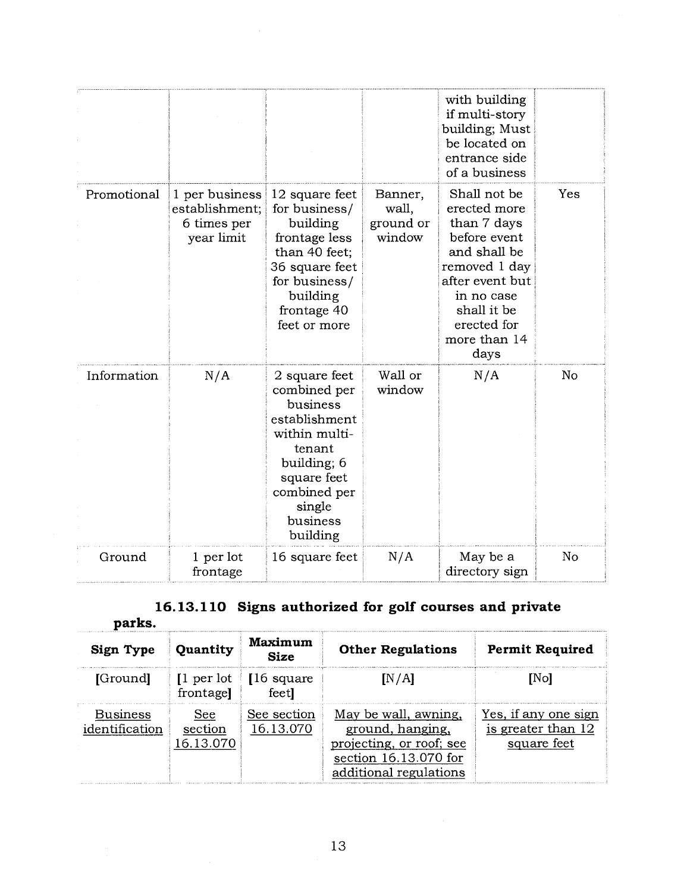|             |                                                               |                                                                                                                                                                       |                                         | with building<br>if multi-story<br>building; Must<br>be located on<br>entrance side<br>of a business                                                                                |     |
|-------------|---------------------------------------------------------------|-----------------------------------------------------------------------------------------------------------------------------------------------------------------------|-----------------------------------------|-------------------------------------------------------------------------------------------------------------------------------------------------------------------------------------|-----|
| Promotional | 1 per business<br>establishment;<br>6 times per<br>year limit | 12 square feet<br>for business/<br>building<br>frontage less<br>than 40 feet;<br>36 square feet<br>for business/<br>building<br>frontage 40<br>feet or more           | Banner,<br>wall,<br>ground or<br>window | Shall not be<br>erected more<br>than 7 days<br>before event<br>and shall be<br>removed 1 day<br>after event but<br>in no case<br>shall it be<br>erected for<br>more than 14<br>days | Yes |
| Information | N/A                                                           | 2 square feet<br>combined per<br>business<br>establishment<br>within multi-<br>tenant<br>building; 6<br>square feet<br>combined per<br>single<br>business<br>building | Wall or<br>window                       | N/A                                                                                                                                                                                 | No  |
| Ground      | 1 per lot<br>frontage                                         | 16 square feet                                                                                                                                                        | N/A                                     | May be a<br>directory sign                                                                                                                                                          | No  |

# **16.13.110 Signs authorized for golf courses and private**

| parks.                     |                               |                                          |                                                                                                                         |                                                           |
|----------------------------|-------------------------------|------------------------------------------|-------------------------------------------------------------------------------------------------------------------------|-----------------------------------------------------------|
| Sign Type                  | Quantity                      | Maximum<br><b>Size</b>                   | <b>Other Regulations</b>                                                                                                | <b>Permit Required</b>                                    |
| [Ground]                   | $\lceil$ per lot<br>frontage] | $\left[16 \text{ square}\right]$<br>feet | [N/A]                                                                                                                   | [No]                                                      |
| Business<br>identification | See<br>section<br>16.13.070   | See section<br>16.13.070                 | May be wall, awning,<br>ground, hanging,<br>projecting, or roof; see<br>section 16.13.070 for<br>additional regulations | Yes, if any one sign<br>is greater than 12<br>square feet |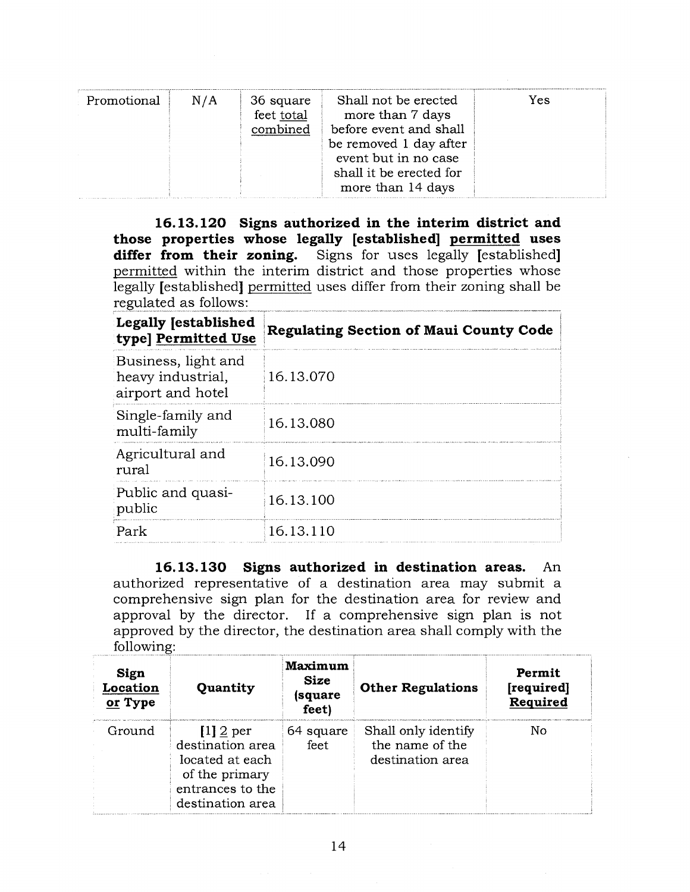| Promotional<br>N/A | Shall not be erected<br>36 square<br>feet total<br>more than 7 days<br>before event and shall<br>combined<br>be removed 1 day after<br>event but in no case<br>shall it be erected for<br>more than 14 days | Yes |
|--------------------|-------------------------------------------------------------------------------------------------------------------------------------------------------------------------------------------------------------|-----|
|--------------------|-------------------------------------------------------------------------------------------------------------------------------------------------------------------------------------------------------------|-----|

**16.13.120 Signs authorized in the interim district and those properties whose legally [established] permitted uses differ from their zoning.** Signs for uses legally [established] permitted within the interim district and those properties whose legally [established] permitted uses differ from their zoning shall be regulated as follows:

| Legally [established<br>type] Permitted Use                   | <b>Regulating Section of Maui County Code</b> |
|---------------------------------------------------------------|-----------------------------------------------|
| Business, light and<br>heavy industrial,<br>airport and hotel | 16.13.070                                     |
| Single-family and<br>multi-family                             | 16.13.080                                     |
| Agricultural and<br>rural                                     | 16.13.090                                     |
| Public and quasi-<br>public                                   | 16.13.100                                     |
| Park                                                          | 16.13.110                                     |

**16.13.130 Signs authorized in destination areas.** An authorized representative of a destination area may submit a comprehensive sign plan for the destination area for review and approval by the director. If a comprehensive sign plan is not approved by the director, the destination area shall comply with the following:

| Sign<br>Location<br>or Type | Quantity                                                                                                     | Maximum<br><b>Size</b><br>(square<br>feet) | <b>Other Regulations</b>                                   | Permit<br>[required]<br>Required |
|-----------------------------|--------------------------------------------------------------------------------------------------------------|--------------------------------------------|------------------------------------------------------------|----------------------------------|
| Ground                      | $[1]$ 2 per<br>destination area<br>located at each<br>of the primary<br>entrances to the<br>destination area | 64 square<br>feet                          | Shall only identify<br>the name of the<br>destination area | No                               |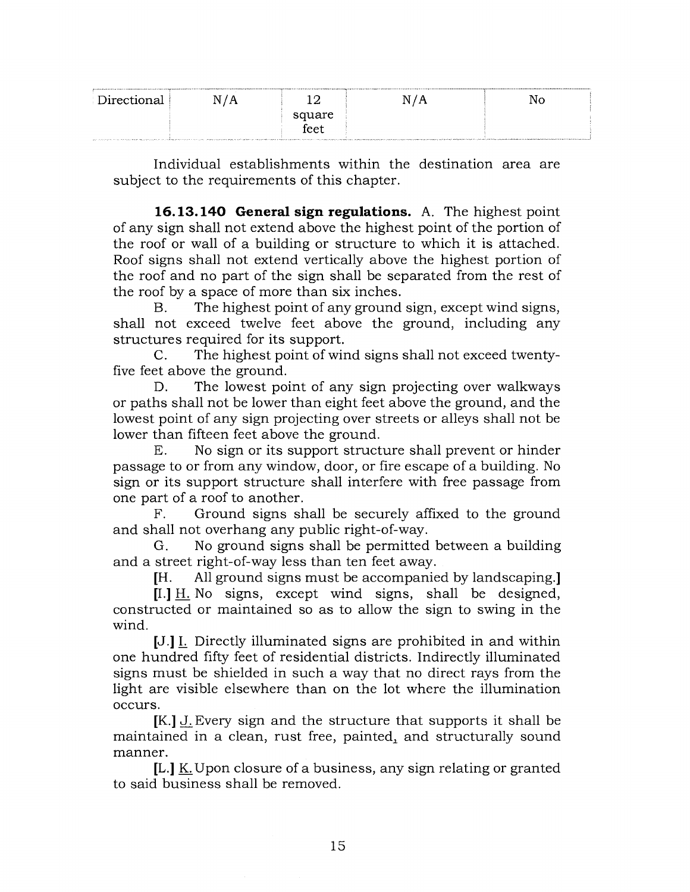| Directional | N/A |        | N/A | No |
|-------------|-----|--------|-----|----|
|             |     | square |     |    |
|             |     | feet   |     |    |

Individual establishments within the destination area are subject to the requirements of this chapter.

**16.13.140 General sign regulations.** A. The highest point of any sign shall not extend above the highest point of the portion of the roof or wall of a building or structure to which it is attached. Roof signs shall not extend vertically above the highest portion of the roof and no part of the sign shall be separated from the rest of the roof by a space of more than six inches.

B. The highest point of any ground sign, except wind signs, shall not exceed twelve feet above the ground, including any structures required for its support.

C. The highest point of wind signs shall not exceed twentyfive feet above the ground.

D. The lowest point of any sign projecting over walkways or paths shall not be lower than eight feet above the ground, and the lowest point of any sign projecting over streets or alleys shall not be lower than fifteen feet above the ground.

E. No sign or its support structure shall prevent or hinder passage to or from any window, door, or fire escape of a building. No sign or its support structure shall interfere with free passage from one part of a roof to another.

F. Ground signs shall be securely affixed to the ground and shall not overhang any public right-of-way.

G. No ground signs shall be permitted between a building and a street right-of-way less than ten feet away.

[H. All ground signs must be accompanied by landscaping.]

[I.] H. No signs, except wind signs, shall be designed, constructed or maintained so as to allow the sign to swing in the wind.

[J.] I. Directly illuminated signs are prohibited in and within one hundred fifty feet of residential districts. Indirectly illuminated signs must be shielded in such a way that no direct rays from the light are visible elsewhere than on the lot where the illumination occurs.

[K.] J. Every sign and the structure that supports it shall be maintained in a clean, rust free, painted, and structurally sound manner.

[L.]  $K$  Upon closure of a business, any sign relating or granted to said business shall be removed.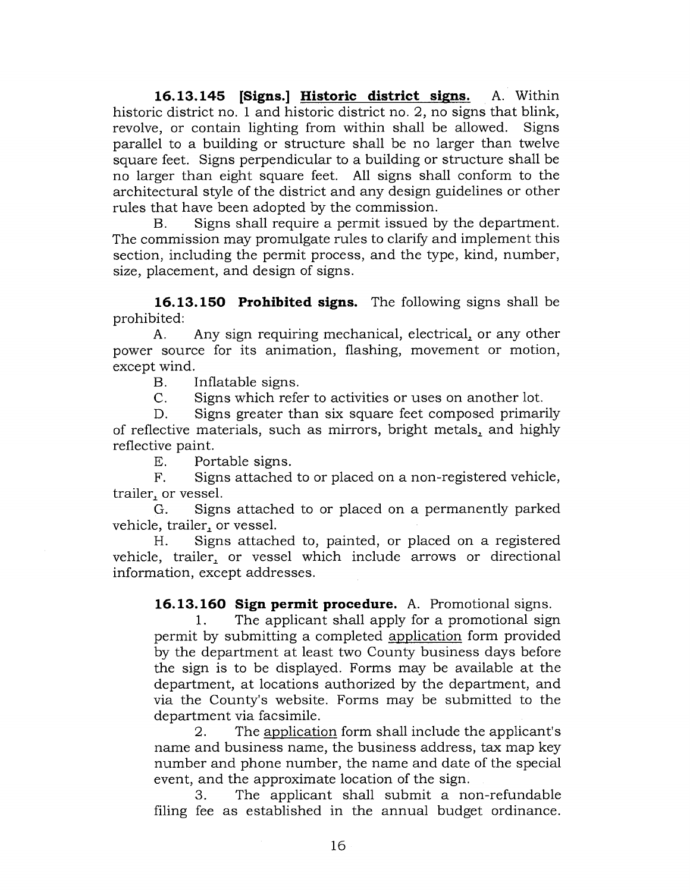**16.13.145 [Signs.] Historic district signs.** A. Within historic district no. 1 and historic district no. 2, no signs that blink, revolve, or contain lighting from within shall be allowed. Signs parallel to a building or structure shall be no larger than twelve square feet. Signs perpendicular to a building or structure shall be no larger than eight square feet. All signs shall conform to the architectural style of the district and any design guidelines or other rules that have been adopted by the commission.

B. Signs shall require a permit issued by the department. The commission may promulgate rules to clarify and implement this section, including the permit process, and the type, kind, number, size, placement, and design of signs.

**16.13.150 Prohibited signs.** The following signs shall be prohibited:

A. Any sign requiring mechanical, electrical, or any other power source for its animation, flashing, movement or motion, except wind.

B. Inflatable signs.

C. Signs which refer to activities or uses on another lot.

D. Signs greater than six square feet composed primarily of reflective materials, such as mirrors, bright metals, and highly reflective paint.

E. Portable signs.

F. Signs attached to or placed on a non-registered vehicle, trailer, or vessel.

G. Signs attached to or placed on a permanently parked vehicle, trailer, or vessel.

H. Signs attached to, painted, or placed on a registered vehicle, trailer, or vessel which include arrows or directional information, except addresses.

**16.13.160 Sign permit procedure.** A. Promotional signs.

1. The applicant shall apply for a promotional sign permit by submitting a completed application form provided by the department at least two County business days before the sign is to be displayed. Forms may be available at the department, at locations authorized by the department, and via the County's website. Forms may be submitted to the department via facsimile.

2. The application form shall include the applicant's name and business name, the business address, tax map key number and phone number, the name and date of the special event, and the approximate location of the sign.

3. The applicant shall submit a non-refundable filing fee as established in the annual budget ordinance.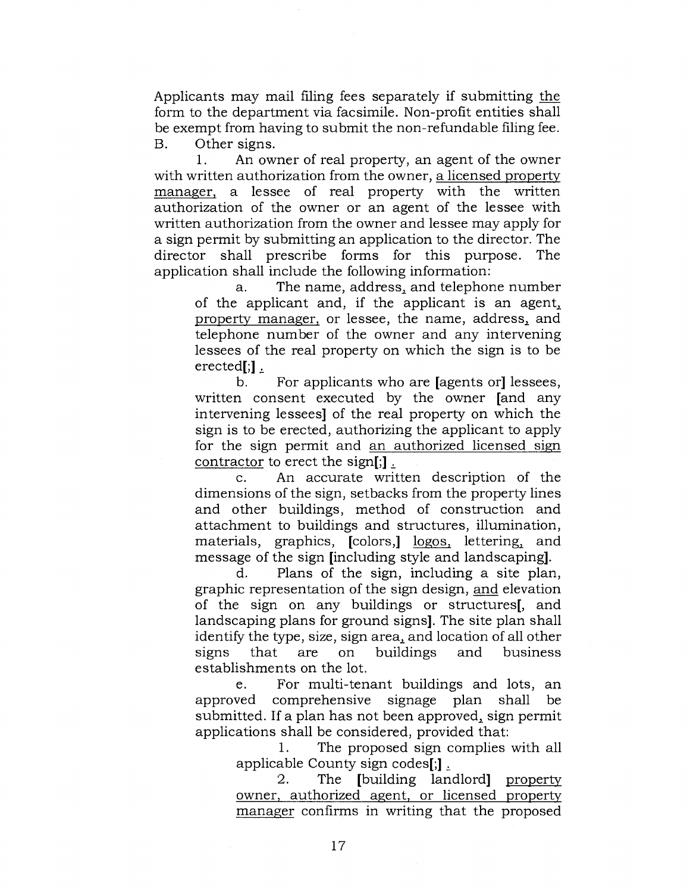Applicants may mail filing fees separately if submitting the form to the department via facsimile. Non-profit entities shall be exempt from having to submit the non-refundable filing fee. B. Other signs.

1. An owner of real property, an agent of the owner with written authorization from the owner, a licensed property manager, a lessee of real property with the written authorization of the owner or an agent of the lessee with written authorization from the owner and lessee may apply for a sign permit by submitting an application to the director. The director shall prescribe forms for this purpose. The application shall include the following information:

a. The name, address, and telephone number of the applicant and, if the applicant is an agent, property manager, or lessee, the name, address,\_ and telephone number of the owner and any intervening lessees of the real property on which the sign is to be erected[;] $\frac{1}{2}$ 

b. For applicants who are [agents or] lessees, written consent executed by the owner [and any intervening lessees] of the real property on which the sign is to be erected, authorizing the applicant to apply for the sign permit and an authorized licensed sign contractor to erect the sign[;].

c. An accurate written description of the dimensions of the sign, setbacks from the property lines and other buildings, method of construction and attachment to buildings and structures, illumination, materials, graphics, [colors,] logos, lettering, and message of the sign [including style and landscaping].

d. Plans of the sign, including a site plan, graphic representation of the sign design, and elevation of the sign on any buildings or structures[, and landscaping plans for ground signs]. The site plan shall identify the type, size, sign area, and location of all other Example to the cype, size, sign area, and because of all other establishments on the lot.

e. For multi-tenant buildings and lots, an approved comprehensive signage plan shall be submitted. If a plan has not been approved, sign permit applications shall be considered, provided that:

1. The proposed sign complies with all applicable County sign codes[;]

2. The [building landlord] property owner, authorized agent, or licensed property manager confirms in writing that the proposed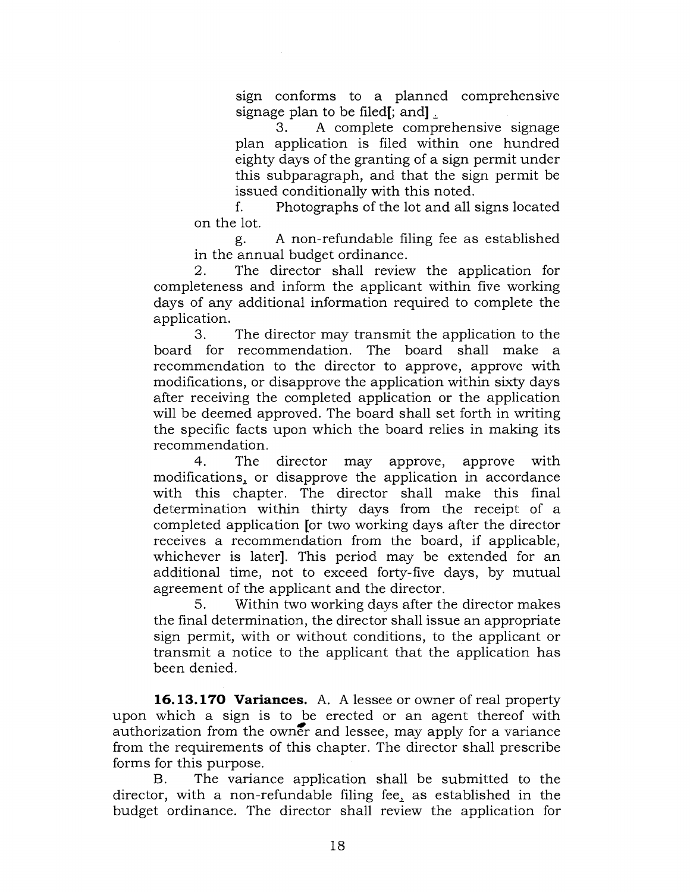sign conforms to a planned comprehensive signage plan to be filed<sup>[</sup>; and<sup>]</sup>.

3. A complete comprehensive signage plan application is filed within one hundred eighty days of the granting of a sign permit under this subparagraph, and that the sign permit be issued conditionally with this noted.

f. Photographs of the lot and all signs located on the lot.

g. A non-refundable filing fee as established in the annual budget ordinance.

2. The director shall review the application for completeness and inform the applicant within five working days of any additional information required to complete the application.

3. The director may transmit the application to the board for recommendation. The board shall make a recommendation to the director to approve, approve with modifications, or disapprove the application within sixty days after receiving the completed application or the application will be deemed approved. The board shall set forth in writing the specific facts upon which the board relies in making its recommendation.

4. The director may approve, approve with modifications., or disapprove the application in accordance with this chapter. The director shall make this final determination within thirty days from the receipt of a completed application [or two working days after the director receives a recommendation from the board, if applicable, whichever is later]. This period may be extended for an additional time, not to exceed forty-five days, by mutual agreement of the applicant and the director.

5. Within two working days after the director makes the final determination, the director shall issue an appropriate sign permit, with or without conditions, to the applicant or transmit a notice to the applicant that the application has been denied.

**16.13.170 Variances.** A. A lessee or owner of real property upon which a sign is to be erected or an agent thereof with authorization from the owner and lessee, may apply for a variance from the requirements of this chapter. The director shall prescribe forms for this purpose.

B. The variance application shall be submitted to the director, with a non-refundable filing fee, as established in the budget ordinance. The director shall review the application for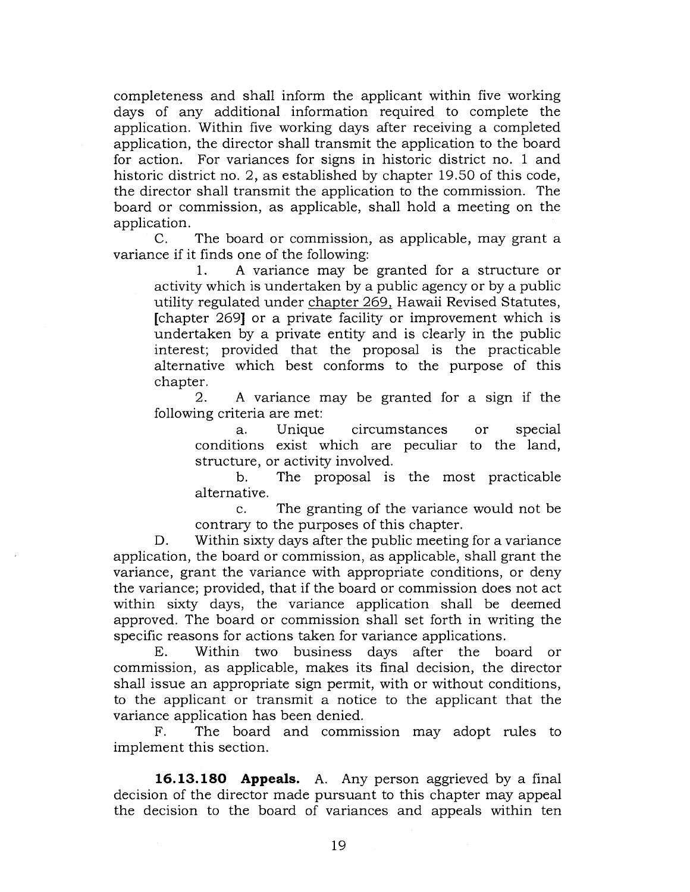completeness and shall inform the applicant within five working days of any additional information required to complete the application. Within five working days after receiving a completed application, the director shall transmit the application to the board for action. For variances for signs in historic district no. 1 and historic district no. 2, as established by chapter 19.50 of this code, the director shall transmit the application to the commission. The board or commission, as applicable, shall hold a meeting on the application.

C. The board or commission, as applicable, may grant a variance if it finds one of the following:

1. A variance may be granted for a structure or activity which is undertaken by a public agency or by a public utility regulated under chapter 269, Hawaii Revised Statutes, [chapter 269] or a private facility or improvement which is undertaken by a private entity and is clearly in the public interest; provided that the proposal is the practicable alternative which best conforms to the purpose of this chapter.

2. A variance may be granted for a sign if the following criteria are met:

a. Unique circumstances or special conditions exist which are peculiar to the land, structure, or activity involved.

b. The proposal is the most practicable alternative.

c. The granting of the variance would not be contrary to the purposes of this chapter.

D. Within sixty days after the public meeting for a variance application, the board or commission, as applicable, shall grant the variance, grant the variance with appropriate conditions, or deny the variance; provided, that if the board or commission does not act within sixty days, the variance application shall be deemed approved. The board or commission shall set forth in writing the specific reasons for actions taken for variance applications.

E. Within two business days after the board or commission, as applicable, makes its final decision, the director shall issue an appropriate sign permit, with or without conditions, to the applicant or transmit a notice to the applicant that the variance application has been denied.

F. The board and commission may adopt rules to implement this section.

**16.13.180 Appeals.** A. Any person aggrieved by a final decision of the director made pursuant to this chapter may appeal the decision to the board of variances and appeals within ten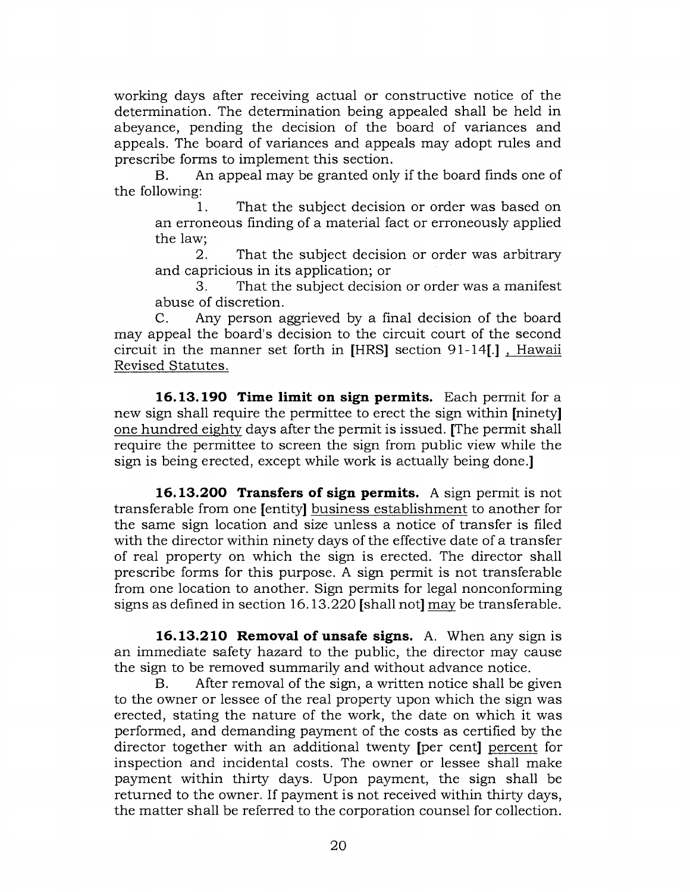working days after receiving actual or constructive notice of the determination. The determination being appealed shall be held in abeyance, pending the decision of the board of variances and appeals. The board of variances and appeals may adopt rules and prescribe forms to implement this section.

B. An appeal may be granted only if the board finds one of the following:

1. That the subject decision or order was based on an erroneous finding of a material fact or erroneously applied the law;

2. That the subject decision or order was arbitrary and capricious in its application; or

3. That the subject decision or order was a manifest abuse of discretion.

C. Any person aggrieved by a final decision of the board may appeal the board's decision to the circuit court of the second circuit in the manner set forth in [HRS] section 91-14[.] , Hawaii Revised Statutes.

**16.13.190 Time limit on sign permits.** Each permit for a new sign shall require the permittee to erect the sign within [ninety] one hundred eighty days after the permit is issued. [The permit shall require the permittee to screen the sign from public view while the sign is being erected, except while work is actually being done.]

**16.13.200 Transfers of sign permits.** A sign permit is not transferable from one [entity] business establishment to another for the same sign location and size unless a notice of transfer is filed with the director within ninety days of the effective date of a transfer of real property on which the sign is erected. The director shall prescribe forms for this purpose. A sign permit is not transferable from one location to another. Sign permits for legal nonconforming signs as defined in section 16.13.220 [shall not] may be transferable.

**16.13.210 Removal of unsafe signs.** A. When any sign is an immediate safety hazard to the public, the director may cause the sign to be removed summarily and without advance notice.

B. After removal of the sign, a written notice shall be given to the owner or lessee of the real property upon which the sign was erected, stating the nature of the work, the date on which it was performed, and demanding payment of the costs as certified by the director together with an additional twenty [per cent] percent for inspection and incidental costs. The owner or lessee shall make payment within thirty days. Upon payment, the sign shall be returned to the owner. If payment is not received within thirty days, the matter shall be referred to the corporation counsel for collection.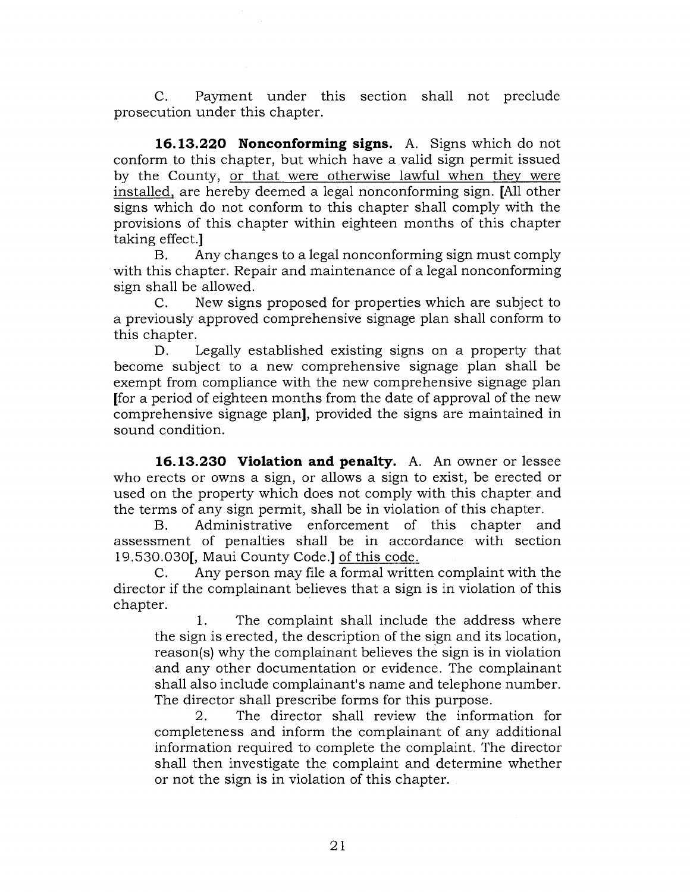C. Payment under this section shall not preclude prosecution under this chapter.

**16.13.220 Nonconforming signs.** A. Signs which do not conform to this chapter, but which have a valid sign permit issued by the County, or that were otherwise lawful when they were installed, are hereby deemed a legal nonconforming sign. [All other signs which do not conform to this chapter shall comply with the provisions of this chapter within eighteen months of this chapter taking effect.]

B. Any changes to a legal nonconforming sign must comply with this chapter. Repair and maintenance of a legal nonconforming sign shall be allowed.

C. New signs proposed for properties which are subject to a previously approved comprehensive signage plan shall conform to this chapter.

D. Legally established existing signs on a property that become subject to a new comprehensive signage plan shall be exempt from compliance with the new comprehensive signage plan [for a period of eighteen months from the date of approval of the new comprehensive signage plan], provided the signs are maintained in sound condition.

**16.13.230 Violation and penalty.** A. An owner or lessee who erects or owns a sign, or allows a sign to exist, be erected or used on the property which does not comply with this chapter and the terms of any sign permit, shall be in violation of this chapter.

B. Administrative enforcement of this chapter and assessment of penalties shall be in accordance with section 19.530.030[, Maui County Code.] of this code.

C. Any person may file a formal written complaint with the director if the complainant believes that a sign is in violation of this chapter.

1. The complaint shall include the address where the sign is erected, the description of the sign and its location, reason(s) why the complainant believes the sign is in violation and any other documentation or evidence. The complainant shall also include complainant's name and telephone number. The director shall prescribe forms for this purpose.

2. The director shall review the information for completeness and inform the complainant of any additional information required to complete the complaint. The director shall then investigate the complaint and determine whether or not the sign is in violation of this chapter.